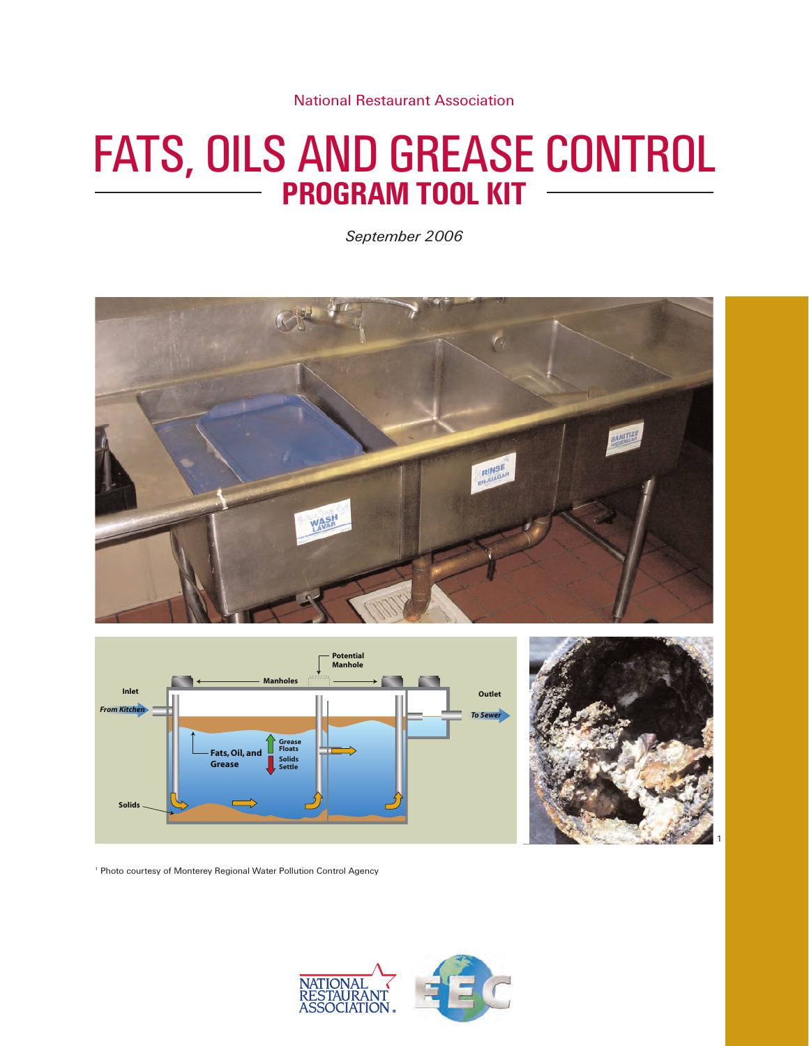National Restaurant Association

# FATS, OILS AND GREASE CONTROL **PROGRAM TOOL KIT**

*September 2006*







<sup>1</sup> Photo courtesy of Monterey Regional Water Pollution Control Agency

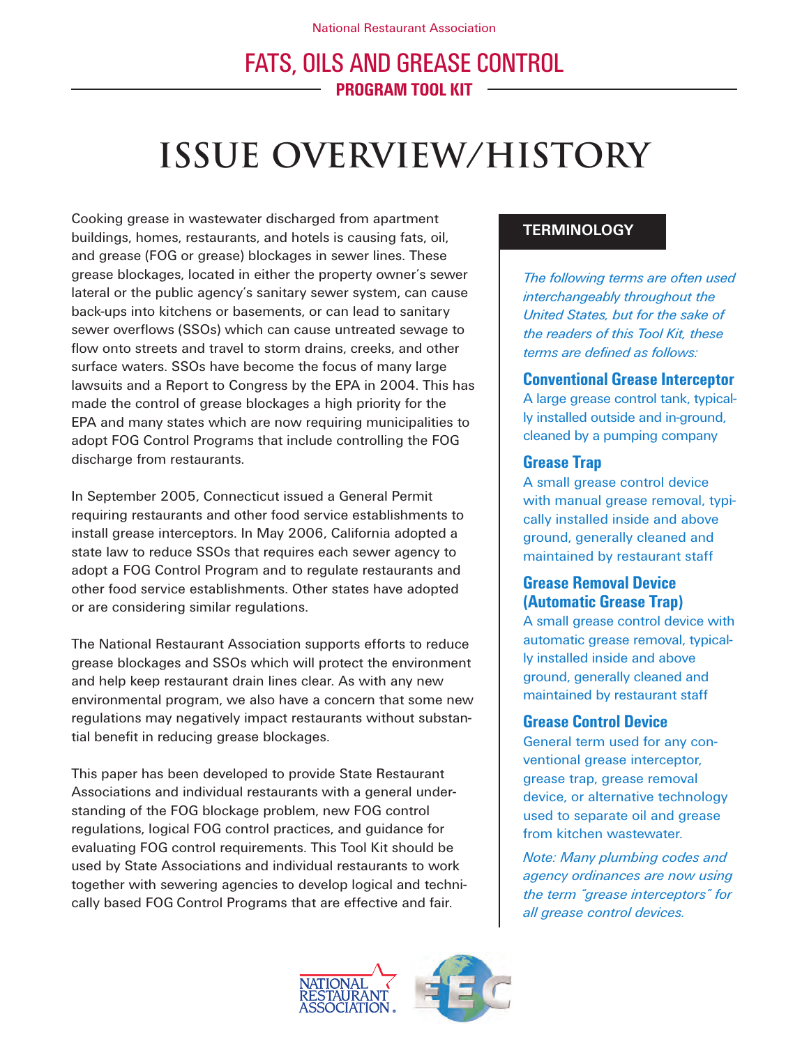# **Issue Overview/History**

Cooking grease in wastewater discharged from apartment buildings, homes, restaurants, and hotels is causing fats, oil, and grease (FOG or grease) blockages in sewer lines. These grease blockages, located in either the property owner's sewer lateral or the public agency's sanitary sewer system, can cause back-ups into kitchens or basements, or can lead to sanitary sewer overflows (SSOs) which can cause untreated sewage to flow onto streets and travel to storm drains, creeks, and other surface waters. SSOs have become the focus of many large lawsuits and a Report to Congress by the EPA in 2004. This has made the control of grease blockages a high priority for the EPA and many states which are now requiring municipalities to adopt FOG Control Programs that include controlling the FOG discharge from restaurants.

In September 2005, Connecticut issued a General Permit requiring restaurants and other food service establishments to install grease interceptors. In May 2006, California adopted a state law to reduce SSOs that requires each sewer agency to adopt a FOG Control Program and to regulate restaurants and other food service establishments. Other states have adopted or are considering similar regulations.

The National Restaurant Association supports efforts to reduce grease blockages and SSOs which will protect the environment and help keep restaurant drain lines clear. As with any new environmental program, we also have a concern that some new regulations may negatively impact restaurants without substantial benefit in reducing grease blockages.

This paper has been developed to provide State Restaurant Associations and individual restaurants with a general understanding of the FOG blockage problem, new FOG control regulations, logical FOG control practices, and guidance for evaluating FOG control requirements. This Tool Kit should be used by State Associations and individual restaurants to work together with sewering agencies to develop logical and technically based FOG Control Programs that are effective and fair.

## **TERMINOLOGY**

*The following terms are often used interchangeably throughout the United States, but for the sake of the readers of this Tool Kit, these terms are defined as follows:*

## **Conventional Grease Interceptor**

A large grease control tank, typically installed outside and in-ground, cleaned by a pumping company

## **Grease Trap**

A small grease control device with manual grease removal, typically installed inside and above ground, generally cleaned and maintained by restaurant staff

## **Grease Removal Device (Automatic Grease Trap)**

A small grease control device with automatic grease removal, typically installed inside and above ground, generally cleaned and maintained by restaurant staff

### **Grease Control Device**

General term used for any conventional grease interceptor, grease trap, grease removal device, or alternative technology used to separate oil and grease from kitchen wastewater.

*Note: Many plumbing codes and agency ordinances are now using the term "grease interceptors" for all grease control devices.*

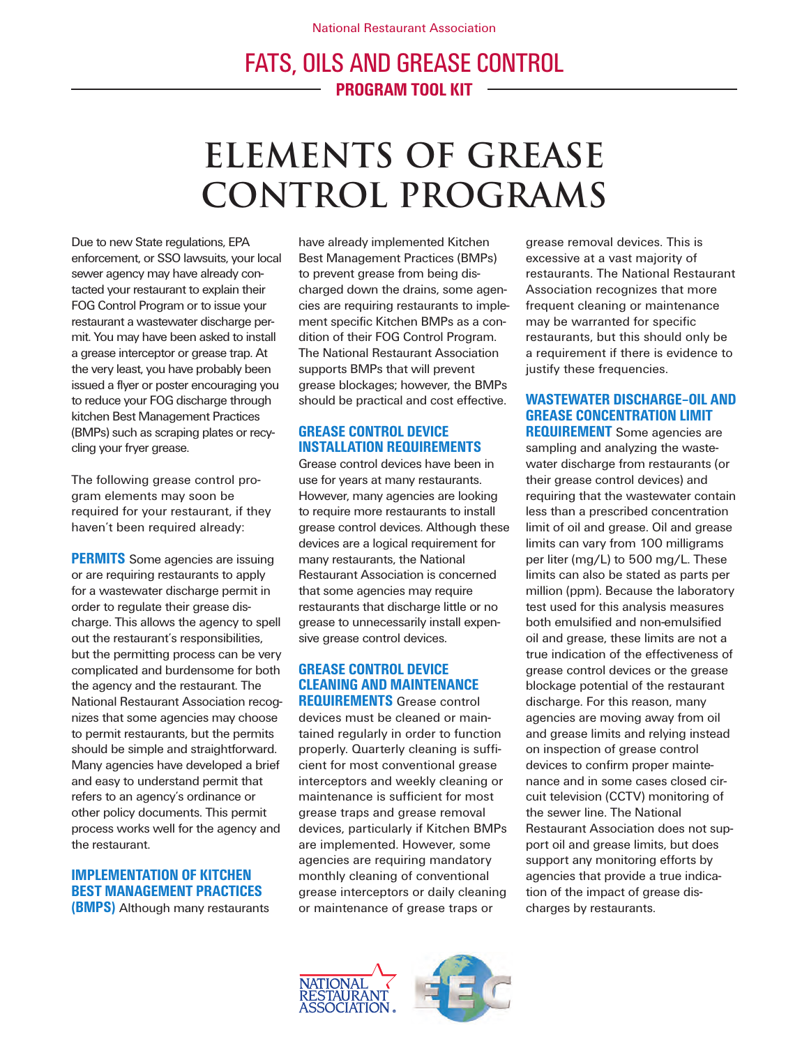# **Elements of grease control programs**

Due to new State regulations, EPA enforcement, or SSO lawsuits, your local sewer agency may have already contacted your restaurant to explain their FOG Control Program or to issue your restaurant a wastewater discharge permit. You may have been asked to install a grease interceptor or grease trap. At the very least, you have probably been issued a flyer or poster encouraging you to reduce your FOG discharge through kitchen Best Management Practices (BMPs) such as scraping plates or recycling your fryer grease.

The following grease control program elements may soon be required for your restaurant, if they haven't been required already:

**PERMITS** Some agencies are issuing or are requiring restaurants to apply for a wastewater discharge permit in order to regulate their grease discharge. This allows the agency to spell out the restaurant's responsibilities, but the permitting process can be very complicated and burdensome for both the agency and the restaurant. The National Restaurant Association recognizes that some agencies may choose to permit restaurants, but the permits should be simple and straightforward. Many agencies have developed a brief and easy to understand permit that refers to an agency's ordinance or other policy documents. This permit process works well for the agency and the restaurant.

### **IMPLEMENTATION OF KITCHEN BEST MANAGEMENT PRACTICES (BMPS)** Although many restaurants

have already implemented Kitchen Best Management Practices (BMPs) to prevent grease from being discharged down the drains, some agencies are requiring restaurants to implement specific Kitchen BMPs as a condition of their FOG Control Program. The National Restaurant Association supports BMPs that will prevent grease blockages; however, the BMPs should be practical and cost effective.

### **GREASE CONTROL DEVICE INSTALLATION REQUIREMENTS**

Grease control devices have been in use for years at many restaurants. However, many agencies are looking to require more restaurants to install grease control devices. Although these devices are a logical requirement for many restaurants, the National Restaurant Association is concerned that some agencies may require restaurants that discharge little or no grease to unnecessarily install expensive grease control devices.

## **GREASE CONTROL DEVICE CLEANING AND MAINTENANCE**

**REQUIREMENTS** Grease control devices must be cleaned or maintained regularly in order to function properly. Quarterly cleaning is sufficient for most conventional grease interceptors and weekly cleaning or maintenance is sufficient for most grease traps and grease removal devices, particularly if Kitchen BMPs are implemented. However, some agencies are requiring mandatory monthly cleaning of conventional grease interceptors or daily cleaning or maintenance of grease traps or

grease removal devices. This is excessive at a vast majority of restaurants. The National Restaurant Association recognizes that more frequent cleaning or maintenance may be warranted for specific restaurants, but this should only be a requirement if there is evidence to justify these frequencies.

## **WASTEWATER DISCHARGE–OIL AND GREASE CONCENTRATION LIMIT**

**REQUIREMENT** Some agencies are sampling and analyzing the wastewater discharge from restaurants (or their grease control devices) and requiring that the wastewater contain less than a prescribed concentration limit of oil and grease. Oil and grease limits can vary from 100 milligrams per liter (mg/L) to 500 mg/L. These limits can also be stated as parts per million (ppm). Because the laboratory test used for this analysis measures both emulsified and non-emulsified oil and grease, these limits are not a true indication of the effectiveness of grease control devices or the grease blockage potential of the restaurant discharge. For this reason, many agencies are moving away from oil and grease limits and relying instead on inspection of grease control devices to confirm proper maintenance and in some cases closed circuit television (CCTV) monitoring of the sewer line. The National Restaurant Association does not support oil and grease limits, but does support any monitoring efforts by agencies that provide a true indication of the impact of grease discharges by restaurants.

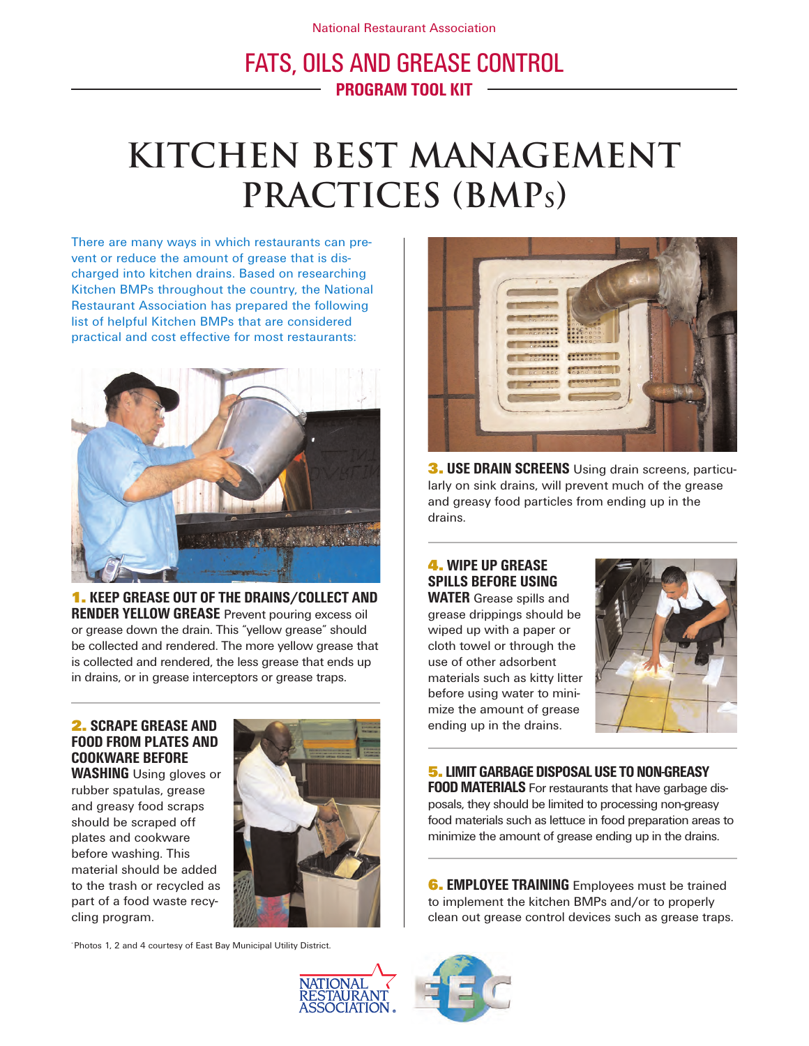# **kitchen best management practices (BMPs)**

There are many ways in which restaurants can prevent or reduce the amount of grease that is discharged into kitchen drains. Based on researching Kitchen BMPs throughout the country, the National Restaurant Association has prepared the following list of helpful Kitchen BMPs that are considered practical and cost effective for most restaurants:



**1. KEEP GREASE OUT OF THE DRAINS/COLLECT AND RENDER YELLOW GREASE** Prevent pouring excess oil or grease down the drain. This "yellow grease" should be collected and rendered. The more yellow grease that is collected and rendered, the less grease that ends up in drains, or in grease interceptors or grease traps.

## **2. SCRAPE GREASE AND FOOD FROM PLATES AND COOKWARE BEFORE**

**WASHING** Using gloves or rubber spatulas, grease and greasy food scraps should be scraped off plates and cookware before washing. This material should be added to the trash or recycled as part of a food waste recycling program.



\* Photos 1, 2 and 4 courtesy of East Bay Municipal Utility District.



**3. USE DRAIN SCREENS** Using drain screens, particularly on sink drains, will prevent much of the grease and greasy food particles from ending up in the drains.

## **4. WIPE UP GREASE SPILLS BEFORE USING**

**WATER** Grease spills and grease drippings should be wiped up with a paper or cloth towel or through the use of other adsorbent materials such as kitty litter before using water to minimize the amount of grease ending up in the drains.



## **5.LIMIT GARBAGE DISPOSAL USE TO NON-GREASY**

**FOOD MATERIALS** For restaurants that have garbage disposals, they should be limited to processing non-greasy food materials such as lettuce in food preparation areas to minimize the amount of grease ending up in the drains.

**6. EMPLOYEE TRAINING** Employees must be trained to implement the kitchen BMPs and/or to properly clean out grease control devices such as grease traps.



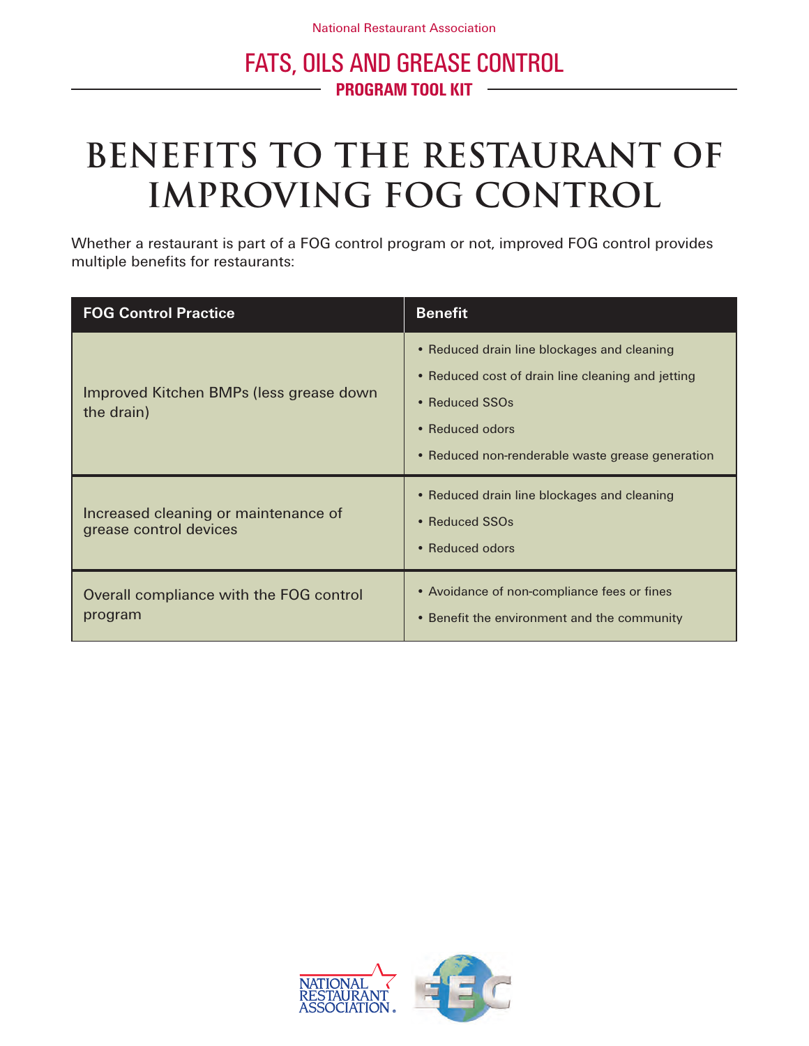# **benefits to the restaurant of improving fog control**

Whether a restaurant is part of a FOG control program or not, improved FOG control provides multiple benefits for restaurants:

| <b>FOG Control Practice</b>                                    | <b>Benefit</b>                                                                                                                                                                            |
|----------------------------------------------------------------|-------------------------------------------------------------------------------------------------------------------------------------------------------------------------------------------|
| Improved Kitchen BMPs (less grease down<br>the drain)          | • Reduced drain line blockages and cleaning<br>• Reduced cost of drain line cleaning and jetting<br>• Reduced SSOs<br>• Reduced odors<br>• Reduced non-renderable waste grease generation |
| Increased cleaning or maintenance of<br>grease control devices | • Reduced drain line blockages and cleaning<br>• Reduced SSOs<br>• Reduced odors                                                                                                          |
| Overall compliance with the FOG control<br>program             | • Avoidance of non-compliance fees or fines<br>• Benefit the environment and the community                                                                                                |

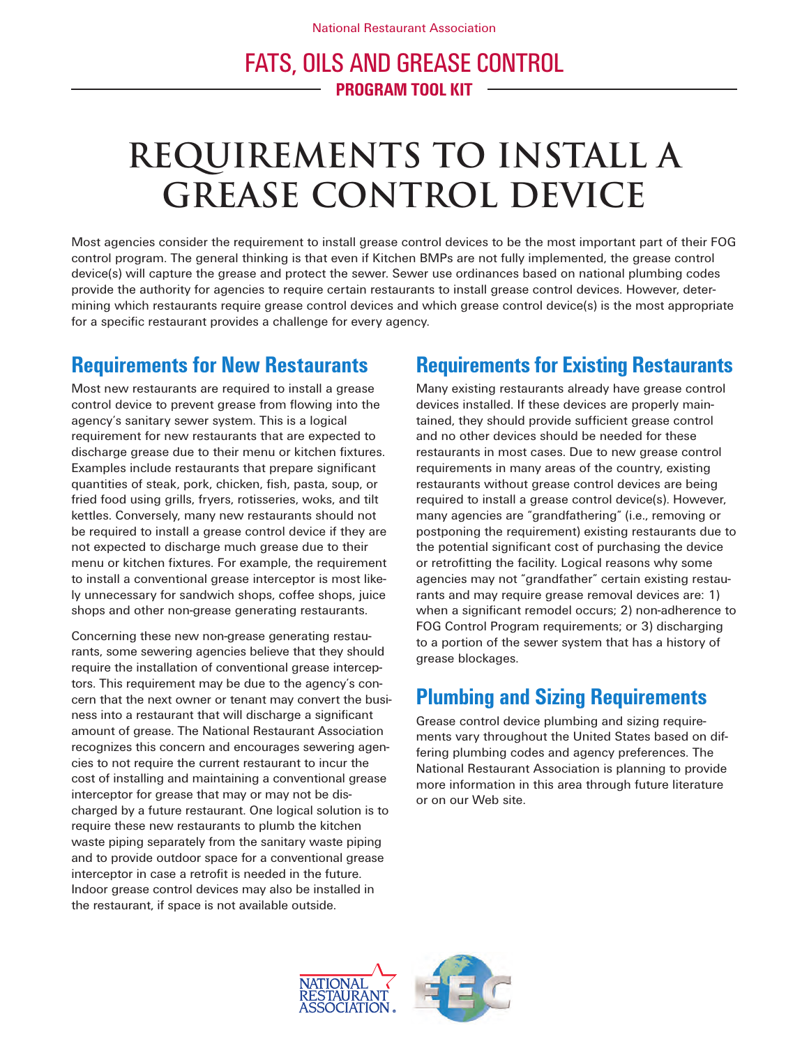# **requirements to install a grease control device**

Most agencies consider the requirement to install grease control devices to be the most important part of their FOG control program. The general thinking is that even if Kitchen BMPs are not fully implemented, the grease control device(s) will capture the grease and protect the sewer. Sewer use ordinances based on national plumbing codes provide the authority for agencies to require certain restaurants to install grease control devices. However, determining which restaurants require grease control devices and which grease control device(s) is the most appropriate for a specific restaurant provides a challenge for every agency.

# **Requirements for New Restaurants**

Most new restaurants are required to install a grease control device to prevent grease from flowing into the agency's sanitary sewer system. This is a logical requirement for new restaurants that are expected to discharge grease due to their menu or kitchen fixtures. Examples include restaurants that prepare significant quantities of steak, pork, chicken, fish, pasta, soup, or fried food using grills, fryers, rotisseries, woks, and tilt kettles. Conversely, many new restaurants should not be required to install a grease control device if they are not expected to discharge much grease due to their menu or kitchen fixtures. For example, the requirement to install a conventional grease interceptor is most likely unnecessary for sandwich shops, coffee shops, juice shops and other non-grease generating restaurants.

Concerning these new non-grease generating restaurants, some sewering agencies believe that they should require the installation of conventional grease interceptors. This requirement may be due to the agency's concern that the next owner or tenant may convert the business into a restaurant that will discharge a significant amount of grease. The National Restaurant Association recognizes this concern and encourages sewering agencies to not require the current restaurant to incur the cost of installing and maintaining a conventional grease interceptor for grease that may or may not be discharged by a future restaurant. One logical solution is to require these new restaurants to plumb the kitchen waste piping separately from the sanitary waste piping and to provide outdoor space for a conventional grease interceptor in case a retrofit is needed in the future. Indoor grease control devices may also be installed in the restaurant, if space is not available outside.

# **Requirements for Existing Restaurants**

Many existing restaurants already have grease control devices installed. If these devices are properly maintained, they should provide sufficient grease control and no other devices should be needed for these restaurants in most cases. Due to new grease control requirements in many areas of the country, existing restaurants without grease control devices are being required to install a grease control device(s). However, many agencies are "grandfathering" (i.e., removing or postponing the requirement) existing restaurants due to the potential significant cost of purchasing the device or retrofitting the facility. Logical reasons why some agencies may not "grandfather" certain existing restaurants and may require grease removal devices are: 1) when a significant remodel occurs; 2) non-adherence to FOG Control Program requirements; or 3) discharging to a portion of the sewer system that has a history of grease blockages.

# **Plumbing and Sizing Requirements**

Grease control device plumbing and sizing requirements vary throughout the United States based on differing plumbing codes and agency preferences. The National Restaurant Association is planning to provide more information in this area through future literature or on our Web site.

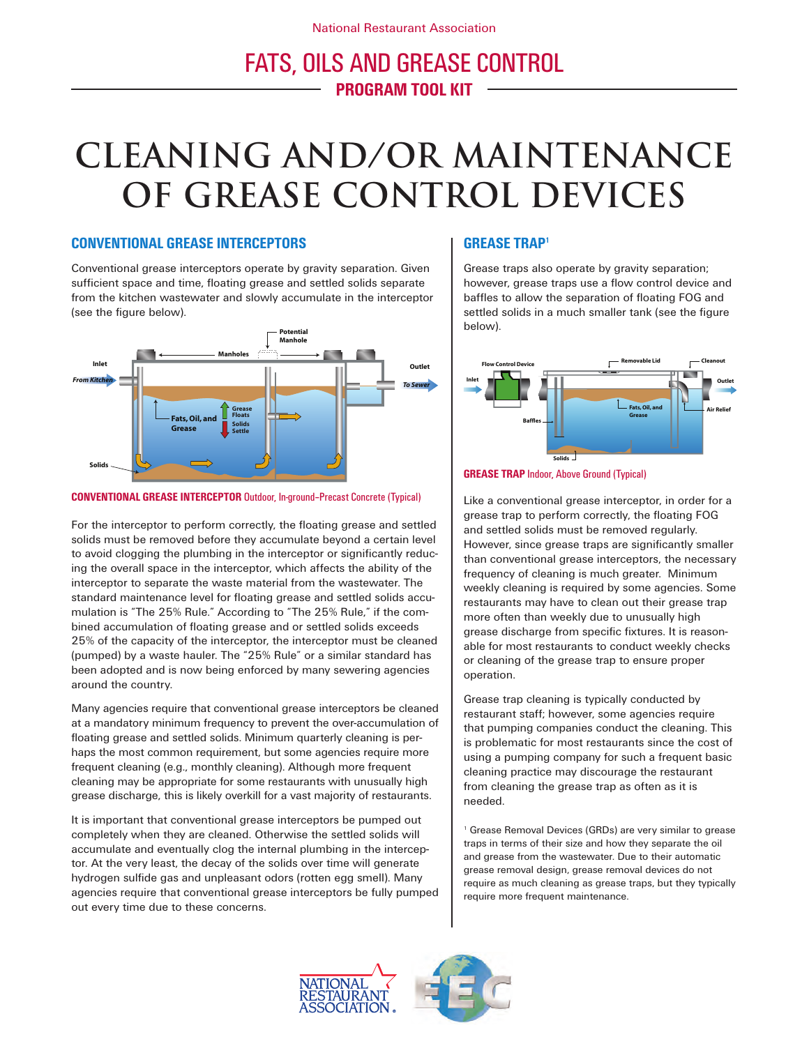# **cleaning and/or maintenance of grease control devices**

### **CONVENTIONAL GREASE INTERCEPTORS**

Conventional grease interceptors operate by gravity separation. Given sufficient space and time, floating grease and settled solids separate from the kitchen wastewater and slowly accumulate in the interceptor (see the figure below).



#### **CONVENTIONAL GREASE INTERCEPTOR** Outdoor, In-ground–Precast Concrete (Typical)

For the interceptor to perform correctly, the floating grease and settled solids must be removed before they accumulate beyond a certain level to avoid clogging the plumbing in the interceptor or significantly reducing the overall space in the interceptor, which affects the ability of the interceptor to separate the waste material from the wastewater. The standard maintenance level for floating grease and settled solids accumulation is "The 25% Rule." According to "The 25% Rule," if the combined accumulation of floating grease and or settled solids exceeds 25% of the capacity of the interceptor, the interceptor must be cleaned (pumped) by a waste hauler. The "25% Rule" or a similar standard has been adopted and is now being enforced by many sewering agencies around the country.

Many agencies require that conventional grease interceptors be cleaned at a mandatory minimum frequency to prevent the over-accumulation of floating grease and settled solids. Minimum quarterly cleaning is perhaps the most common requirement, but some agencies require more frequent cleaning (e.g., monthly cleaning). Although more frequent cleaning may be appropriate for some restaurants with unusually high grease discharge, this is likely overkill for a vast majority of restaurants.

It is important that conventional grease interceptors be pumped out completely when they are cleaned. Otherwise the settled solids will accumulate and eventually clog the internal plumbing in the interceptor. At the very least, the decay of the solids over time will generate hydrogen sulfide gas and unpleasant odors (rotten egg smell). Many agencies require that conventional grease interceptors be fully pumped out every time due to these concerns.

## **GREASE TRAP1**

Grease traps also operate by gravity separation; however, grease traps use a flow control device and baffles to allow the separation of floating FOG and settled solids in a much smaller tank (see the figure below).





Like a conventional grease interceptor, in order for a grease trap to perform correctly, the floating FOG and settled solids must be removed regularly. However, since grease traps are significantly smaller than conventional grease interceptors, the necessary frequency of cleaning is much greater. Minimum weekly cleaning is required by some agencies. Some restaurants may have to clean out their grease trap more often than weekly due to unusually high grease discharge from specific fixtures. It is reasonable for most restaurants to conduct weekly checks or cleaning of the grease trap to ensure proper operation.

Grease trap cleaning is typically conducted by restaurant staff; however, some agencies require that pumping companies conduct the cleaning. This is problematic for most restaurants since the cost of using a pumping company for such a frequent basic cleaning practice may discourage the restaurant from cleaning the grease trap as often as it is needed.

<sup>1</sup> Grease Removal Devices (GRDs) are very similar to grease traps in terms of their size and how they separate the oil and grease from the wastewater. Due to their automatic grease removal design, grease removal devices do not require as much cleaning as grease traps, but they typically require more frequent maintenance.